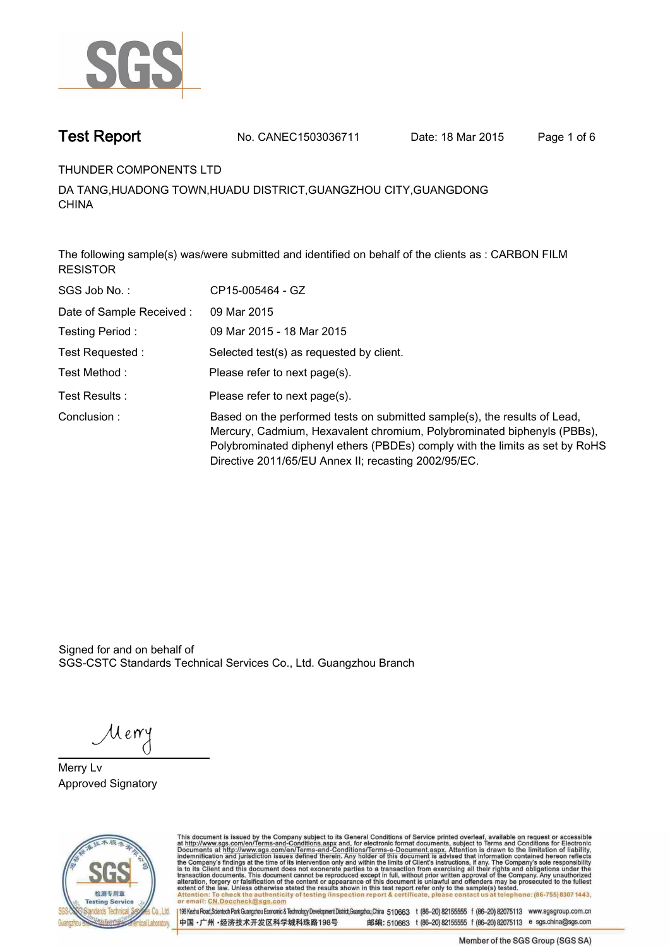

**Test Report. No. CANEC1503036711 Date: 18 Mar 2015. Page 1 of 6.**

**THUNDER COMPONENTS LTD.**

**DA TANG,HUADONG TOWN,HUADU DISTRICT,GUANGZHOU CITY,GUANGDONG CHINA.**

**The following sample(s) was/were submitted and identified on behalf of the clients as : CARBON FILM RESISTOR.**

| SGS Job No.:              | CP15-005464 - GZ                                                                                                                                                                                                                                                                             |
|---------------------------|----------------------------------------------------------------------------------------------------------------------------------------------------------------------------------------------------------------------------------------------------------------------------------------------|
| Date of Sample Received : | 09 Mar 2015                                                                                                                                                                                                                                                                                  |
| Testing Period:           | 09 Mar 2015 - 18 Mar 2015                                                                                                                                                                                                                                                                    |
| Test Requested:           | Selected test(s) as requested by client.                                                                                                                                                                                                                                                     |
| Test Method :             | Please refer to next page(s).                                                                                                                                                                                                                                                                |
| Test Results :            | Please refer to next page(s).                                                                                                                                                                                                                                                                |
| Conclusion:               | Based on the performed tests on submitted sample(s), the results of Lead,<br>Mercury, Cadmium, Hexavalent chromium, Polybrominated biphenyls (PBBs),<br>Polybrominated diphenyl ethers (PBDEs) comply with the limits as set by RoHS<br>Directive 2011/65/EU Annex II; recasting 2002/95/EC. |

Signed for and on behalf of SGS-CSTC Standards Technical Services Co., Ltd. Guangzhou Branch.

Merry

**Merry Lv. Approved Signatory.**



This document is issued by the Company subject to its General Conditions of Service printed overleaf, available on request or accessible at http://www.sgs.com/en/Terms-and-Conditions.aspx and, for electronic format documen

中国·广州·经济技术开发区科学城科珠路198号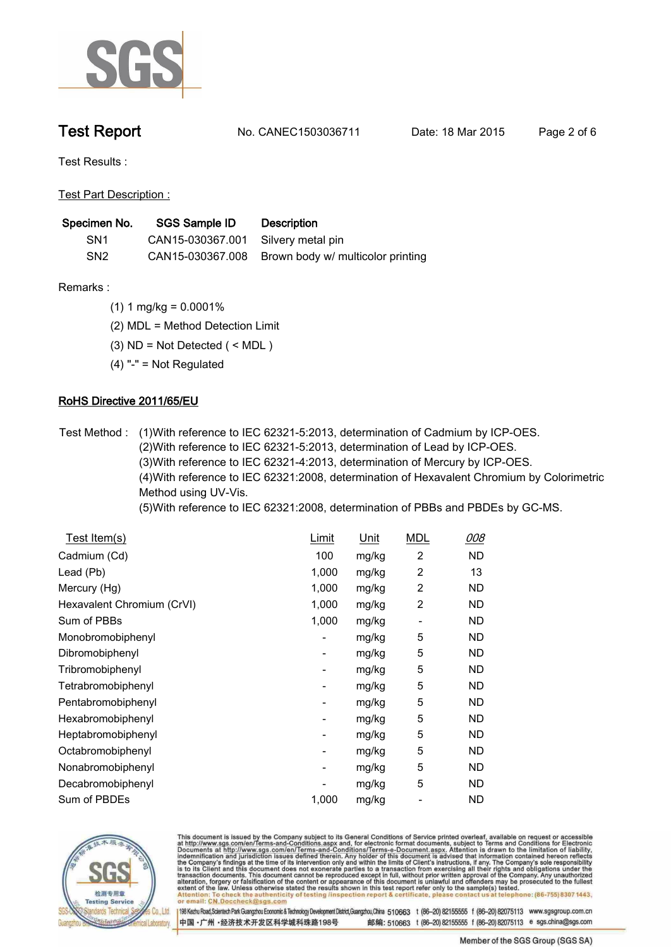

**Test Report. No. CANEC1503036711 Date: 18 Mar 2015. Page 2 of 6.**

**Test Results :.**

**Test Part Description :.**

| Specimen No.    | SGS Sample ID                      | <b>Description</b>                                 |
|-----------------|------------------------------------|----------------------------------------------------|
| SN <sub>1</sub> | CAN15-030367.001 Silvery metal pin |                                                    |
| SN <sub>2</sub> |                                    | CAN15-030367.008 Brown body w/ multicolor printing |

- **Remarks :.(1) 1 mg/kg = 0.0001%.**
	- **(2) MDL = Method Detection Limit.**
	- **(3) ND = Not Detected ( < MDL ).**
	- **(4) "-" = Not Regulated.**

## **RoHS Directive 2011/65/EU.**

**Test Method :. (1)With reference to IEC 62321-5:2013, determination of Cadmium by ICP-OES. (2)With reference to IEC 62321-5:2013, determination of Lead by ICP-OES. (3)With reference to IEC 62321-4:2013, determination of Mercury by ICP-OES. (4)With reference to IEC 62321:2008, determination of Hexavalent Chromium by Colorimetric Method using UV-Vis.**

**(5)With reference to IEC 62321:2008, determination of PBBs and PBDEs by GC-MS..**

| <u>Test Item(s)</u>        | Limit                    | Unit  | <b>MDL</b>               | 008       |
|----------------------------|--------------------------|-------|--------------------------|-----------|
| Cadmium (Cd)               | 100                      | mg/kg | $\overline{c}$           | <b>ND</b> |
| Lead (Pb)                  | 1,000                    | mg/kg | 2                        | 13        |
| Mercury (Hg)               | 1,000                    | mg/kg | 2                        | ND        |
| Hexavalent Chromium (CrVI) | 1,000                    | mg/kg | $\overline{2}$           | <b>ND</b> |
| Sum of PBBs                | 1,000                    | mg/kg | $\overline{\phantom{a}}$ | ND        |
| Monobromobiphenyl          | -                        | mg/kg | 5                        | ND        |
| Dibromobiphenyl            | $\overline{\phantom{a}}$ | mg/kg | 5                        | <b>ND</b> |
| Tribromobiphenyl           | $\overline{\phantom{a}}$ | mg/kg | 5                        | ND        |
| Tetrabromobiphenyl         |                          | mg/kg | 5                        | ND        |
| Pentabromobiphenyl         |                          | mg/kg | 5                        | ND        |
| Hexabromobiphenyl          | -                        | mg/kg | 5                        | <b>ND</b> |
| Heptabromobiphenyl         | -                        | mg/kg | 5                        | <b>ND</b> |
| Octabromobiphenyl          | -                        | mg/kg | 5                        | <b>ND</b> |
| Nonabromobiphenyl          | $\overline{\phantom{a}}$ | mg/kg | 5                        | ND        |
| Decabromobiphenyl          |                          | mg/kg | 5                        | ND        |
| Sum of PBDEs               | 1,000                    | mg/kg |                          | ND        |



This document is issued by the Company subject to its General Conditions of Service printed overleaf, available on request or accessible at http://www.sgs.com/en/Terms-and-Conditions.aspx and, for electronic format docume

中国·广州·经济技术开发区科学城科珠路198号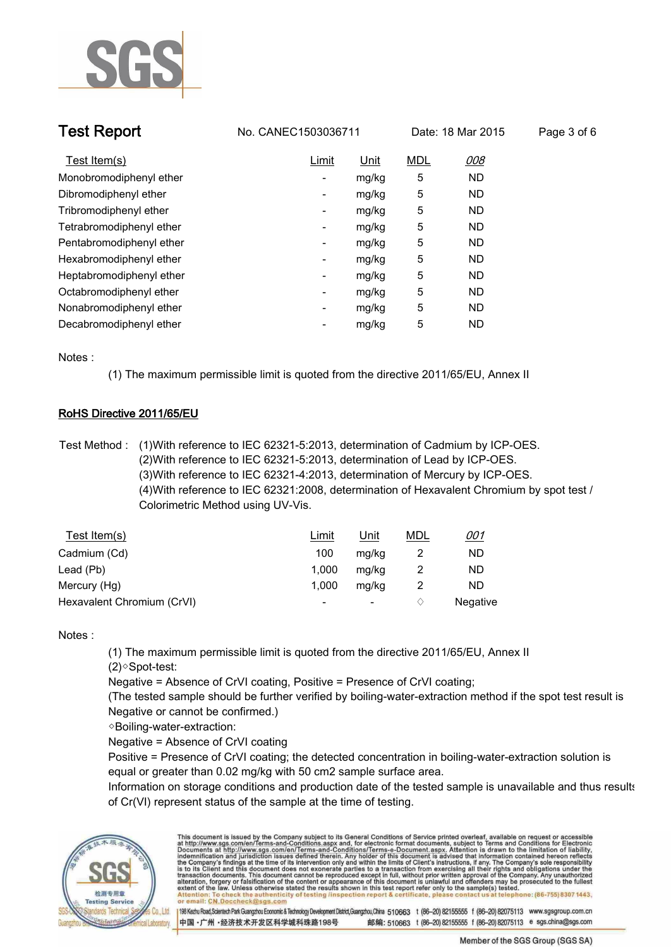

| <b>Test Report</b>       | No. CANEC1503036711      |       |            | Date: 18 Mar 2015 | Page 3 of 6 |
|--------------------------|--------------------------|-------|------------|-------------------|-------------|
| Test Item(s)             | Limit                    | Unit  | <b>MDL</b> | 008               |             |
| Monobromodiphenyl ether  | $\overline{\phantom{a}}$ | mg/kg | 5          | <b>ND</b>         |             |
| Dibromodiphenyl ether    | ٠                        | mg/kg | 5          | <b>ND</b>         |             |
| Tribromodiphenyl ether   | -                        | mg/kg | 5          | <b>ND</b>         |             |
| Tetrabromodiphenyl ether | -                        | mg/kg | 5          | <b>ND</b>         |             |
| Pentabromodiphenyl ether | -                        | mg/kg | 5          | <b>ND</b>         |             |
| Hexabromodiphenyl ether  | -                        | mg/kg | 5          | <b>ND</b>         |             |
| Heptabromodiphenyl ether | $\overline{\phantom{a}}$ | mg/kg | 5          | <b>ND</b>         |             |
| Octabromodiphenyl ether  | -                        | mg/kg | 5          | <b>ND</b>         |             |
| Nonabromodiphenyl ether  | ٠                        | mg/kg | 5          | <b>ND</b>         |             |
| Decabromodiphenyl ether  |                          | mg/kg | 5          | <b>ND</b>         |             |

**Notes :.**

**(1) The maximum permissible limit is quoted from the directive 2011/65/EU, Annex II.**

### **RoHS Directive 2011/65/EU.**

**Test Method :. (1)With reference to IEC 62321-5:2013, determination of Cadmium by ICP-OES. (2)With reference to IEC 62321-5:2013, determination of Lead by ICP-OES. (3)With reference to IEC 62321-4:2013, determination of Mercury by ICP-OES. (4)With reference to IEC 62321:2008, determination of Hexavalent Chromium by spot test / Colorimetric Method using UV-Vis..**

| Test Item(s)               | Limit  | <u>Unit</u> | <u>MDL</u> | <u>001</u> |
|----------------------------|--------|-------------|------------|------------|
| Cadmium (Cd)               | 100    | mg/kg       |            | ND         |
| Lead (Pb)                  | 1.000  | mg/kg       | 2          | ND         |
| Mercury (Hg)               | 1.000  | mg/kg       |            | ND         |
| Hexavalent Chromium (CrVI) | $\sim$ | ٠           |            | Negative   |

### **Notes :.**

**(1) The maximum permissible limit is quoted from the directive 2011/65/EU, Annex II (2)◇Spot-test:** 

**Negative = Absence of CrVI coating, Positive = Presence of CrVI coating;** 

**(The tested sample should be further verified by boiling-water-extraction method if the spot test result is Negative or cannot be confirmed.)**

**◇Boiling-water-extraction:** 

**Negative = Absence of CrVI coating**

**Positive = Presence of CrVI coating; the detected concentration in boiling-water-extraction solution is equal or greater than 0.02 mg/kg with 50 cm2 sample surface area.**

**Information on storage conditions and production date of the tested sample is unavailable and thus results of Cr(VI) represent status of the sample at the time of testing..**



This document is issued by the Company subject to its General Conditions of Service printed overleaf, available on request or accessible at http://www.sgs.com/en/Terms-and-Conditions.aspx and, for electronic format docume ck the authenticity of testing /inspection report & certificate, pl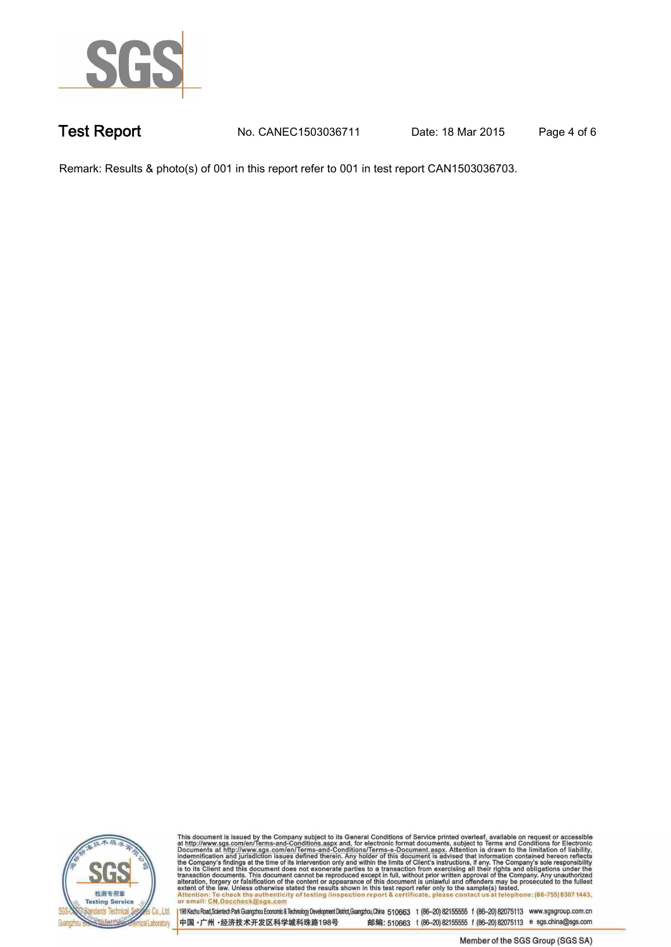

**Test Report. No. CANEC1503036711 Date: 18 Mar 2015. Page 4 of 6.**

**Remark: Results & photo(s) of 001 in this report refer to 001 in test report CAN1503036703..**



This document is issued by the Company subject to its General Conditions of Service printed overleaf, available on request or accessible at http://www.sgs.com/en/Terms-and-Conditions.aspx and, for electronic format docume

中国·广州·经济技术开发区科学城科珠路198号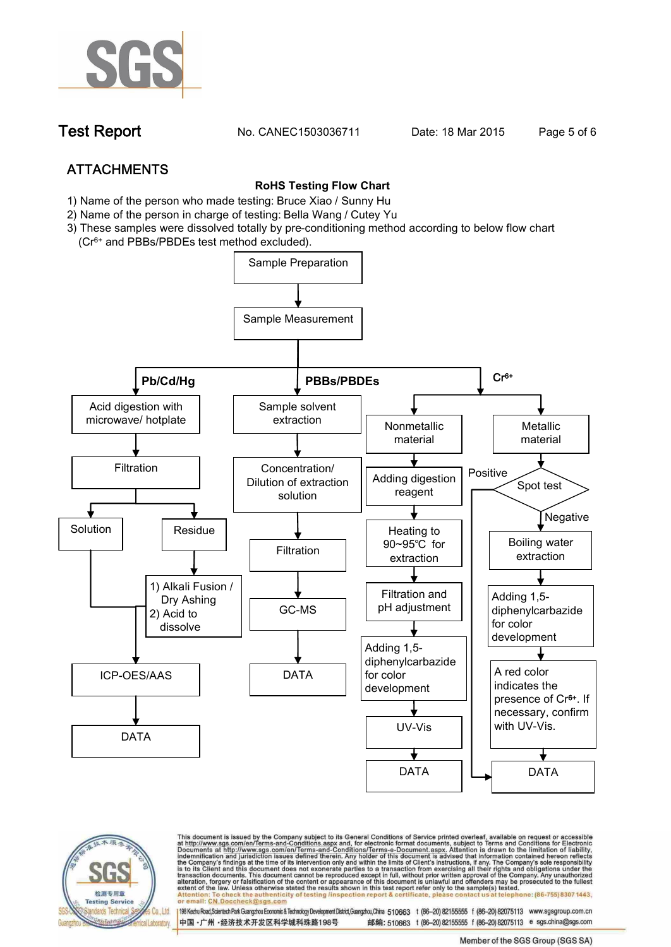

**Test Report. No. CANEC1503036711** Date: 18 Mar 2015. Page 5 of 6.

# **ATTACHMENTS**

### **RoHS Testing Flow Chart**

- **1) Name of the person who made testing: Bruce Xiao / Sunny Hu**
- **2) Name of the person in charge of testing: Bella Wang / Cutey Yu**
- **3) These samples were dissolved totally by pre-conditioning method according to below flow chart (Cr6+ and PBBs/PBDEs test method excluded).**





This document is issued by the Company subject to its General Conditions of Service printed overleaf, available on request or accessible at http://www.sgs.com/en/Terms-and-Conditions.aspx and, for electronic format documen ack the authenticity of testing /inspection report & certificate, pla or email: CN.Doccheck@

中国·广州·经济技术开发区科学城科珠路198号